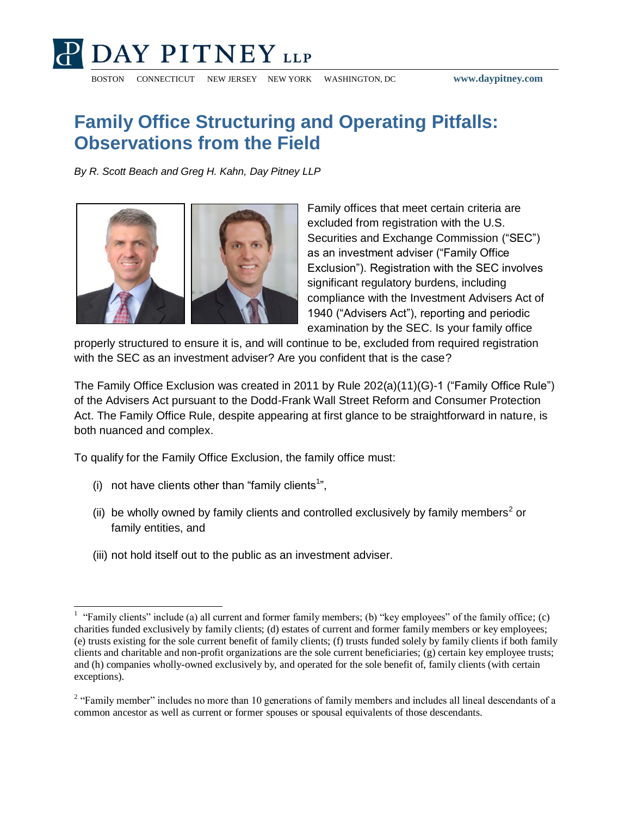

BOSTON CONNECTICUT NEW JERSEY NEW YORK WASHINGTON, DC **www.daypitney.com**

## **Family Office Structuring and Operating Pitfalls: Observations from the Field**

*By R. Scott Beach and Greg H. Kahn, Day Pitney LLP*



Family offices that meet certain criteria are excluded from registration with the U.S. Securities and Exchange Commission ("SEC") as an investment adviser ("Family Office Exclusion"). Registration with the SEC involves significant regulatory burdens, including compliance with the Investment Advisers Act of 1940 ("Advisers Act"), reporting and periodic examination by the SEC. Is your family office

properly structured to ensure it is, and will continue to be, excluded from required registration with the SEC as an investment adviser? Are you confident that is the case?

The Family Office Exclusion was created in 2011 by Rule 202(a)(11)(G)-1 ("Family Office Rule") of the Advisers Act pursuant to the Dodd-Frank Wall Street Reform and Consumer Protection Act. The Family Office Rule, despite appearing at first glance to be straightforward in nature, is both nuanced and complex.

To qualify for the Family Office Exclusion, the family office must:

 $(i)$  not have clients other than "family clients<sup>1</sup>",

 $\overline{a}$ 

- (ii) be wholly owned by family clients and controlled exclusively by family members<sup>2</sup> or family entities, and
- (iii) not hold itself out to the public as an investment adviser.

<sup>&</sup>lt;sup>1</sup> "Family clients" include (a) all current and former family members; (b) "key employees" of the family office; (c) charities funded exclusively by family clients; (d) estates of current and former family members or key employees; (e) trusts existing for the sole current benefit of family clients; (f) trusts funded solely by family clients if both family clients and charitable and non-profit organizations are the sole current beneficiaries; (g) certain key employee trusts; and (h) companies wholly-owned exclusively by, and operated for the sole benefit of, family clients (with certain exceptions).

 $2$  "Family member" includes no more than 10 generations of family members and includes all lineal descendants of a common ancestor as well as current or former spouses or spousal equivalents of those descendants.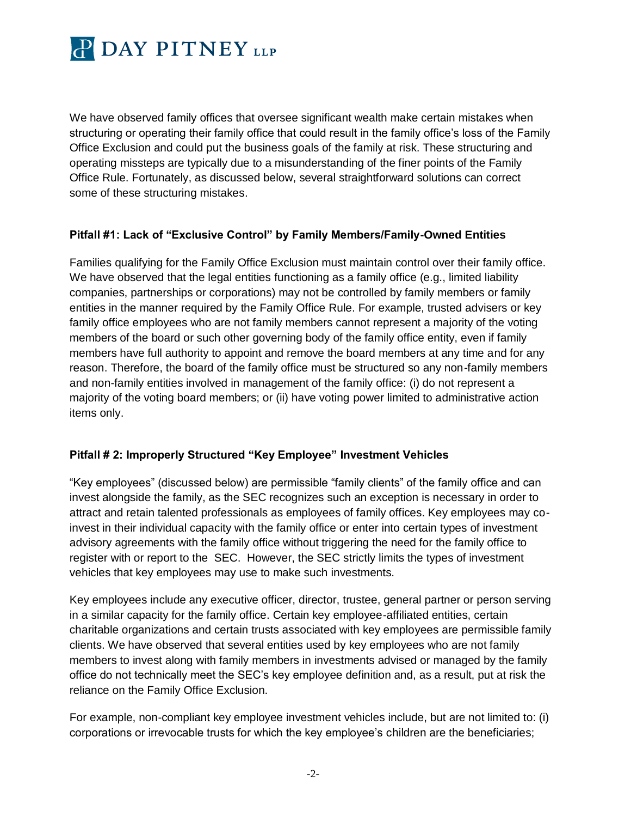

We have observed family offices that oversee significant wealth make certain mistakes when structuring or operating their family office that could result in the family office's loss of the Family Office Exclusion and could put the business goals of the family at risk. These structuring and operating missteps are typically due to a misunderstanding of the finer points of the Family Office Rule. Fortunately, as discussed below, several straightforward solutions can correct some of these structuring mistakes.

## **Pitfall #1: Lack of "Exclusive Control" by Family Members/Family-Owned Entities**

Families qualifying for the Family Office Exclusion must maintain control over their family office. We have observed that the legal entities functioning as a family office (e.g., limited liability companies, partnerships or corporations) may not be controlled by family members or family entities in the manner required by the Family Office Rule. For example, trusted advisers or key family office employees who are not family members cannot represent a majority of the voting members of the board or such other governing body of the family office entity, even if family members have full authority to appoint and remove the board members at any time and for any reason. Therefore, the board of the family office must be structured so any non-family members and non-family entities involved in management of the family office: (i) do not represent a majority of the voting board members; or (ii) have voting power limited to administrative action items only.

## **Pitfall # 2: Improperly Structured "Key Employee" Investment Vehicles**

"Key employees" (discussed below) are permissible "family clients" of the family office and can invest alongside the family, as the SEC recognizes such an exception is necessary in order to attract and retain talented professionals as employees of family offices. Key employees may coinvest in their individual capacity with the family office or enter into certain types of investment advisory agreements with the family office without triggering the need for the family office to register with or report to the SEC. However, the SEC strictly limits the types of investment vehicles that key employees may use to make such investments.

Key employees include any executive officer, director, trustee, general partner or person serving in a similar capacity for the family office. Certain key employee-affiliated entities, certain charitable organizations and certain trusts associated with key employees are permissible family clients. We have observed that several entities used by key employees who are not family members to invest along with family members in investments advised or managed by the family office do not technically meet the SEC's key employee definition and, as a result, put at risk the reliance on the Family Office Exclusion.

For example, non-compliant key employee investment vehicles include, but are not limited to: (i) corporations or irrevocable trusts for which the key employee's children are the beneficiaries;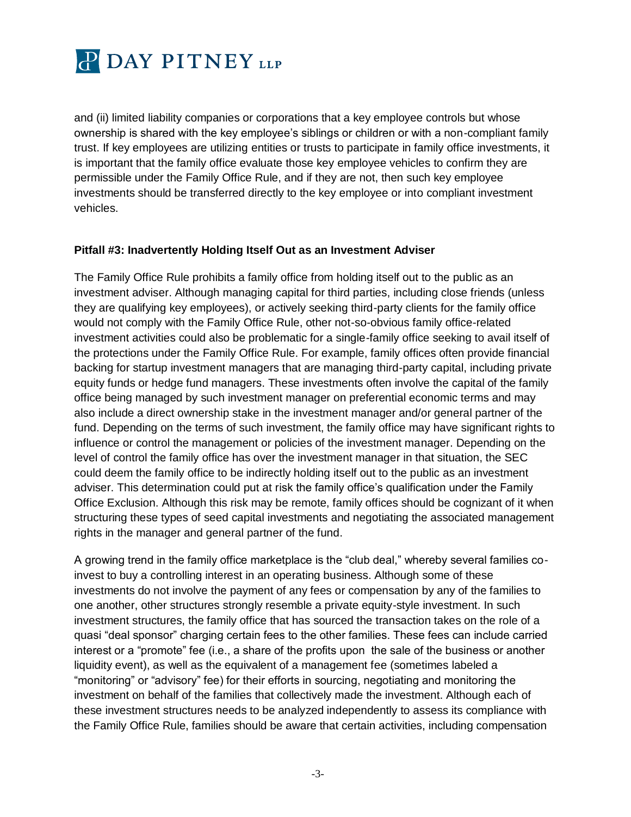

and (ii) limited liability companies or corporations that a key employee controls but whose ownership is shared with the key employee's siblings or children or with a non-compliant family trust. If key employees are utilizing entities or trusts to participate in family office investments, it is important that the family office evaluate those key employee vehicles to confirm they are permissible under the Family Office Rule, and if they are not, then such key employee investments should be transferred directly to the key employee or into compliant investment vehicles.

## **Pitfall #3: Inadvertently Holding Itself Out as an Investment Adviser**

The Family Office Rule prohibits a family office from holding itself out to the public as an investment adviser. Although managing capital for third parties, including close friends (unless they are qualifying key employees), or actively seeking third-party clients for the family office would not comply with the Family Office Rule, other not-so-obvious family office-related investment activities could also be problematic for a single-family office seeking to avail itself of the protections under the Family Office Rule. For example, family offices often provide financial backing for startup investment managers that are managing third-party capital, including private equity funds or hedge fund managers. These investments often involve the capital of the family office being managed by such investment manager on preferential economic terms and may also include a direct ownership stake in the investment manager and/or general partner of the fund. Depending on the terms of such investment, the family office may have significant rights to influence or control the management or policies of the investment manager. Depending on the level of control the family office has over the investment manager in that situation, the SEC could deem the family office to be indirectly holding itself out to the public as an investment adviser. This determination could put at risk the family office's qualification under the Family Office Exclusion. Although this risk may be remote, family offices should be cognizant of it when structuring these types of seed capital investments and negotiating the associated management rights in the manager and general partner of the fund.

A growing trend in the family office marketplace is the "club deal," whereby several families coinvest to buy a controlling interest in an operating business. Although some of these investments do not involve the payment of any fees or compensation by any of the families to one another, other structures strongly resemble a private equity-style investment. In such investment structures, the family office that has sourced the transaction takes on the role of a quasi "deal sponsor" charging certain fees to the other families. These fees can include carried interest or a "promote" fee (i.e., a share of the profits upon the sale of the business or another liquidity event), as well as the equivalent of a management fee (sometimes labeled a "monitoring" or "advisory" fee) for their efforts in sourcing, negotiating and monitoring the investment on behalf of the families that collectively made the investment. Although each of these investment structures needs to be analyzed independently to assess its compliance with the Family Office Rule, families should be aware that certain activities, including compensation